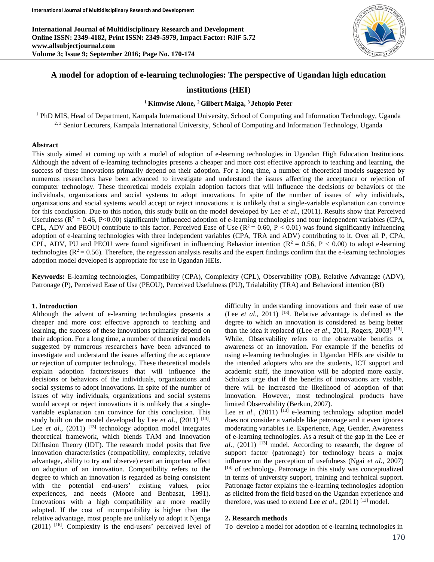**International Journal of Multidisciplinary Research and Development Online ISSN: 2349-4182, Print ISSN: 2349-5979, Impact Factor: RJIF 5.72 www.allsubjectjournal.com Volume 3; Issue 9; September 2016; Page No. 170-174**



# **A model for adoption of e-learning technologies: The perspective of Ugandan high education**

### **institutions (HEI)**

#### **<sup>1</sup> Kimwise Alone, <sup>2</sup> Gilbert Maiga, <sup>3</sup> Jehopio Peter**

<sup>1</sup> PhD MIS, Head of Department, Kampala International University, School of Computing and Information Technology, Uganda 2, 3 Senior Lecturers, Kampala International University, School of Computing and Information Technology, Uganda

#### **Abstract**

This study aimed at coming up with a model of adoption of e-learning technologies in Ugandan High Education Institutions. Although the advent of e-learning technologies presents a cheaper and more cost effective approach to teaching and learning, the success of these innovations primarily depend on their adoption. For a long time, a number of theoretical models suggested by numerous researchers have been advanced to investigate and understand the issues affecting the acceptance or rejection of computer technology. These theoretical models explain adoption factors that will influence the decisions or behaviors of the individuals, organizations and social systems to adopt innovations. In spite of the number of issues of why individuals, organizations and social systems would accept or reject innovations it is unlikely that a single-variable explanation can convince for this conclusion. Due to this notion, this study built on the model developed by Lee *et al*., (2011). Results show that Perceived Usefulness ( $R^2 = 0.46$ , P<0.00) significantly influenced adoption of e-learning technologies and four independent variables (CPA, CPL, ADV and PEOU) contribute to this factor. Perceived Ease of Use  $(R^2 = 0.60, P < 0.01)$  was found significantly influencing adoption of e-learning technologies with three independent variables (CPA, TRA and ADV) contributing to it. Over all P, CPA, CPL, ADV, PU and PEOU were found significant in influencing Behavior intention ( $R^2 = 0.56$ ,  $P < 0.00$ ) to adopt e-learning technologies ( $\mathbb{R}^2 = 0.56$ ). Therefore, the regression analysis results and the expert findings confirm that the e-learning technologies adoption model developed is appropriate for use in Ugandan HEIs.

**Keywords:** E-learning technologies, Compatibility (CPA), Complexity (CPL), Observability (OB), Relative Advantage (ADV), Patronage (P), Perceived Ease of Use (PEOU), Perceived Usefulness (PU), Trialability (TRA) and Behavioral intention (BI)

#### **1. Introduction**

Although the advent of e-learning technologies presents a cheaper and more cost effective approach to teaching and learning, the success of these innovations primarily depend on their adoption. For a long time, a number of theoretical models suggested by numerous researchers have been advanced to investigate and understand the issues affecting the acceptance or rejection of computer technology. These theoretical models explain adoption factors/issues that will influence the decisions or behaviors of the individuals, organizations and social systems to adopt innovations. In spite of the number of issues of why individuals, organizations and social systems would accept or reject innovations it is unlikely that a singlevariable explanation can convince for this conclusion. This study built on the model developed by Lee  $et$   $al.$ , (2011)<sup>[13]</sup>. Lee *et al.*, (2011)<sup>[13]</sup> technology adoption model integrates theoretical framework, which blends TAM and Innovation Diffusion Theory (IDT). The research model posits that five innovation characteristics (compatibility, complexity, relative advantage, ability to try and observe) exert an important effect on adoption of an innovation. Compatibility refers to the degree to which an innovation is regarded as being consistent with the potential end-users' existing values, prior experiences, and needs (Moore and Benbasat, 1991). Innovations with a high compatibility are more readily adopted. If the cost of incompatibility is higher than the relative advantage, most people are unlikely to adopt it Njenga (2011) <sup>[16]</sup>. Complexity is the end-users' perceived level of difficulty in understanding innovations and their ease of use (Lee *et al*., 2011) [13] . Relative advantage is defined as the degree to which an innovation is considered as being better than the idea it replaced ((Lee *et al.*, 2011, Rogers, 2003)<sup>[13]</sup>. While, Observability refers to the observable benefits or awareness of an innovation. For example if the benefits of using e-learning technologies in Ugandan HEIs are visible to the intended adopters who are the students, ICT support and academic staff, the innovation will be adopted more easily. Scholars urge that if the benefits of innovations are visible, there will be increased the likelihood of adoption of that innovation. However, most technological products have limited Observability (Berkun, 2007).

Lee *et al.*, (2011)<sup>[13]</sup> e-learning technology adoption model does not consider a variable like patronage and it even ignores moderating variables i.e. Experience, Age, Gender, Awareness of e-learning technologies. As a result of the gap in the Lee *et al*., (2011) [13] model. According to research, the degree of support factor (patronage) for technology bears a major influence on the perception of usefulness (Ngai *et al*., 2007) [14] of technology. Patronage in this study was conceptualized in terms of university support, training and technical support. Patronage factor explains the e-learning technologies adoption as elicited from the field based on the Ugandan experience and therefore, was used to extend Lee  $et$  al.,  $(2011)$ <sup>[13]</sup> model.

#### **2. Research methods**

To develop a model for adoption of e-learning technologies in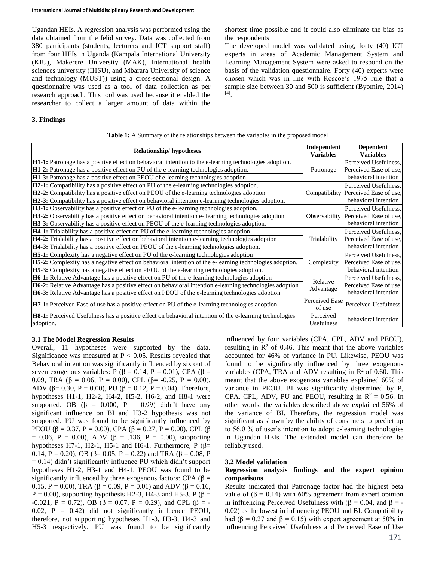Ugandan HEIs. A regression analysis was performed using the data obtained from the felid survey. Data was collected from 380 participants (students, lecturers and ICT support staff) from four HEIs in Uganda (Kampala International University (KIU), Makerere University (MAK), International health sciences university (IHSU), and Mbarara University of science and technology (MUST)) using a cross-sectional design. A questionnaire was used as a tool of data collection as per research approach. This tool was used because it enabled the researcher to collect a larger amount of data within the

#### **3. Findings**

shortest time possible and it could also eliminate the bias as the respondents

The developed model was validated using, forty (40) ICT experts in areas of Academic Management System and Learning Management System were asked to respond on the basis of the validation questionnaire. Forty (40) experts were chosen which was in line with Roscoe's 1975 rule that a sample size between 30 and 500 is sufficient (Byomire, 2014) [4] .

| <b>Relationship/hypotheses</b>                                                                                       | Independent<br><b>Variables</b> | <b>Dependent</b><br><b>Variables</b> |
|----------------------------------------------------------------------------------------------------------------------|---------------------------------|--------------------------------------|
| <b>H1-1:</b> Patronage has a positive effect on behavioral intention to the e-learning technologies adoption.        | Patronage                       | Perceived Usefulness,                |
| <b>H1-2:</b> Patronage has a positive effect on PU of the e-learning technologies adoption.                          |                                 | Perceived Ease of use.               |
| <b>H1-3:</b> Patronage has a positive effect on PEOU of e-learning technologies adoption.                            |                                 | behavioral intention                 |
| H2-1: Compatibility has a positive effect on PU of the e-learning technologies adoption.                             |                                 | Perceived Usefulness,                |
| H2-2: Compatibility has a positive effect on PEOU of the e-learning technologies adoption                            |                                 | Compatibility Perceived Ease of use, |
| H2-3: Compatibility has a positive effect on behavioral intention e-learning technologies adoption.                  |                                 | behavioral intention                 |
| H3-1: Observability has a positive effect on PU of the e-learning technologies adoption.                             | Observability                   | Perceived Usefulness,                |
| <b>H3-2:</b> Observability has a positive effect on behavioral intention e- learning technologies adoption           |                                 | Perceived Ease of use.               |
| H3-3: Observability has a positive effect on PEOU of the e-learning technologies adoption.                           |                                 | behavioral intention                 |
| <b>H4-1:</b> Trialability has a positive effect on PU of the e-learning technologies adoption                        | Trialability                    | Perceived Usefulness,                |
| <b>H4-2:</b> Trialability has a positive effect on behavioral intention e-learning technologies adoption             |                                 | Perceived Ease of use,               |
| H4-3: Trialability has a positive effect on PEOU of the e-learning technologies adoption.                            |                                 | behavioral intention                 |
| <b>H5-1:</b> Complexity has a negative effect on PU of the e-learning technologies adoption                          | Complexity                      | Perceived Usefulness,                |
| <b>H5-2:</b> Complexity has a negative effect on behavioral intention of the e-learning technologies adoption.       |                                 | Perceived Ease of use,               |
| <b>H5-3:</b> Complexity has a negative effect on PEOU of the e-learning technologies adoption.                       |                                 | behavioral intention                 |
| H6-1: Relative Advantage has a positive effect on PU of the e-learning technologies adoption                         | Relative<br>Advantage           | Perceived Usefulness,                |
| H6-2: Relative Advantage has a positive effect on behavioral intention e-learning technologies adoption              |                                 | Perceived Ease of use.               |
| H6-3: Relative Advantage has a positive effect on PEOU of the e-learning technologies adoption                       |                                 | behavioral intention                 |
| <b>H7-1:</b> Perceived Ease of use has a positive effect on PU of the e-learning technologies adoption.              | Perceived Ease<br>of use        | Perceived Usefulness                 |
| H8-1: Perceived Usefulness has a positive effect on behavioral intention of the e-learning technologies<br>adoption. | Perceived<br>Usefulness         | behavioral intention                 |

**Table 1:** A Summary of the relationships between the variables in the proposed model

### **3.1 The Model Regression Results**

Overall, 11 hypotheses were supported by the data. Significance was measured at  $P < 0.05$ . Results revealed that Behavioral intention was significantly influenced by six out of seven exogenous variables: P ( $\beta$  = 0.14, P = 0.01), CPA ( $\beta$  = 0.09, TRA (β = 0.06, P = 0.00), CPL (β = -0.25, P = 0.00), ADV ( $\beta$ = 0.30, P = 0.00), PU ( $\beta$  = 0.12, P = 0.04). Therefore, hypotheses H1-1, H2-2, H4-2, H5-2, H6-2, and H8-1 were supported. OB  $(\beta = 0.000, P = 0.99)$  didn't have any significant influence on BI and H3-2 hypothesis was not supported. PU was found to be significantly influenced by PEOU (β = 0.37, P = 0.00), CPA (β = 0.27, P = 0.00), CPL (β = 0.06, P = 0.00), ADV ( $\beta$  = .136, P = 0.00), supporting hypotheses H7-1, H2-1, H5-1 and H6-1. Furthermore, P (β= 0.14, P = 0.20), OB ( $\beta$ = 0.05, P = 0.22) and TRA ( $\beta$  = 0.08, P = 0.14) didn't significantly influence PU which didn't support hypotheses H1-2, H3-1 and H4-1. PEOU was found to be significantly influenced by three exogenous factors: CPA ( $\beta$  = 0.15, P = 0.00), TRA (β = 0.09, P = 0.01) and ADV (β = 0.16,  $P = 0.00$ ), supporting hypothesis H2-3, H4-3 and H5-3. P ( $\beta =$ -0.021, P = 0.72), OB (β = 0.07, P = 0.29), and CPL (β = - $0.02$ ,  $P = 0.42$ ) did not significantly influence PEOU, therefore, not supporting hypotheses H1-3, H3-3, H4-3 and H5-3 respectively. PU was found to be significantly

influenced by four variables (CPA, CPL, ADV and PEOU), resulting in  $\mathbb{R}^2$  of 0.46. This meant that the above variables accounted for 46% of variance in PU. Likewise, PEOU was found to be significantly influenced by three exogenous variables (CPA, TRA and ADV resulting in  $\mathbb{R}^2$  of 0.60. This meant that the above exogenous variables explained 60% of variance in PEOU. BI was significantly determined by P, CPA, CPL, ADV, PU and PEOU, resulting in  $R^2 = 0.56$ . In other words, the variables described above explained 56% of the variance of BI. Therefore, the regression model was significant as shown by the ability of constructs to predict up to 56.0 % of user's intention to adopt e-learning technologies in Ugandan HEIs. The extended model can therefore be reliably used.

#### **3.2 Model validation**

#### **Regression analysis findings and the expert opinion comparisons**

Results indicated that Patronage factor had the highest beta value of ( $\beta$  = 0.14) with 60% agreement from expert opinion in influencing Perceived Usefulness with ( $β = 0.04$ , and  $β = -$ 0.02) as the lowest in influencing PEOU and BI. Compatibility had ( $\beta$  = 0.27 and  $\beta$  = 0.15) with expert agreement at 50% in influencing Perceived Usefulness and Perceived Ease of Use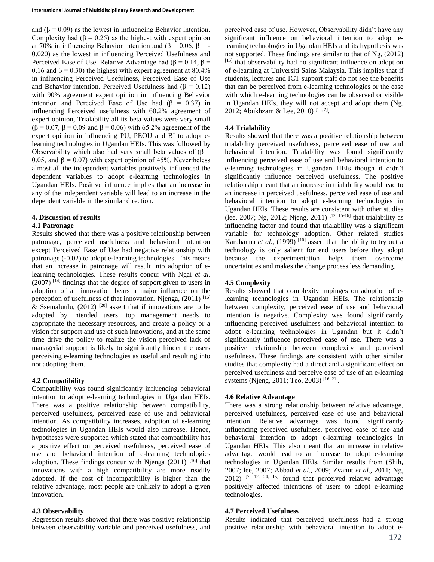and  $(\beta = 0.09)$  as the lowest in influencing Behavior intention. Complexity had ( $\beta$  = 0.25) as the highest with expert opinion at 70% in influencing Behavior intention and (β = 0.06, β = -0.020) as the lowest in influencing Perceived Usefulness and Perceived Ease of Use. Relative Advantage had ( $\beta = 0.14$ ,  $\beta =$ 0.16 and  $\beta$  = 0.30) the highest with expert agreement at 80.4% in influencing Perceived Usefulness, Perceived Ease of Use and Behavior intention. Perceived Usefulness had  $(\beta = 0.12)$ with 90% agreement expert opinion in influencing Behavior intention and Perceived Ease of Use had  $(\beta = 0.37)$  in influencing Perceived usefulness with 60.2% agreement of expert opinion, Trialability all its beta values were very small  $(β = 0.07, β = 0.09$  and  $β = 0.06$ ) with 65.2% agreement of the expert opinion in influencing PU, PEOU and BI to adopt elearning technologies in Ugandan HEIs. This was followed by Observability which also had very small beta values of  $(\beta =$ 0.05, and  $\beta$  = 0.07) with expert opinion of 45%. Nevertheless almost all the independent variables positively influenced the dependent variables to adopt e-learning technologies in Ugandan HEIs. Positive influence implies that an increase in any of the independent variable will lead to an increase in the dependent variable in the similar direction.

# **4. Discussion of results**

### **4.1 Patronage**

Results showed that there was a positive relationship between patronage, perceived usefulness and behavioral intention except Perceived Ease of Use had negative relationship with patronage (-0.02) to adopt e-learning technologies. This means that an increase in patronage will result into adoption of elearning technologies. These results concur with Ngai *et al*.  $(2007)$ <sup>[14]</sup> findings that the degree of support given to users in adoption of an innovation bears a major influence on the perception of usefulness of that innovation. Njenga, (2011) [16] & Ssemaluulu,  $(2012)$ <sup>[20]</sup> assert that if innovations are to be adopted by intended users, top management needs to appropriate the necessary resources, and create a policy or a vision for support and use of such innovations, and at the same time drive the policy to realize the vision perceived lack of managerial support is likely to significantly hinder the users perceiving e-learning technologies as useful and resulting into not adopting them.

## **4.2 Compatibility**

Compatibility was found significantly influencing behavioral intention to adopt e-learning technologies in Ugandan HEIs. There was a positive relationship between compatibility, perceived usefulness, perceived ease of use and behavioral intention. As compatibility increases, adoption of e-learning technologies in Ugandan HEIs would also increase. Hence, hypotheses were supported which stated that compatibility has a positive effect on perceived usefulness, perceived ease of use and behavioral intention of e-learning technologies adoption. These findings concur with Njenga  $(2011)$ <sup>[16]</sup> that innovations with a high compatibility are more readily adopted. If the cost of incompatibility is higher than the relative advantage, most people are unlikely to adopt a given innovation.

## **4.3 Observability**

Regression results showed that there was positive relationship between observability variable and perceived usefulness, and perceived ease of use. However, Observability didn't have any significant influence on behavioral intention to adopt elearning technologies in Ugandan HEIs and its hypothesis was not supported. These findings are similar to that of Ng, (2012) [15] that observability had no significant influence on adoption of e-learning at Universiti Sains Malaysia. This implies that if students, lectures and ICT support staff do not see the benefits that can be perceived from e-learning technologies or the ease with which e-learning technologies can be observed or visible in Ugandan HEIs, they will not accept and adopt them (Ng, 2012; Abukhzam & Lee, 2010)<sup>[15, 2]</sup>.

# **4.4 Trialability**

Results showed that there was a positive relationship between trialability perceived usefulness, perceived ease of use and behavioral intention. Trialability was found significantly influencing perceived ease of use and behavioral intention to e-learning technologies in Ugandan HEIs though it didn't significantly influence perceived usefulness. The positive relationship meant that an increase in trialability would lead to an increase in perceived usefulness, perceived ease of use and behavioral intention to adopt e-learning technologies in Ugandan HEIs. These results are consistent with other studies (lee, 2007; Ng, 2012; Njeng, 2011)<sup>[12, 15-16]</sup> that trialability as influencing factor and found that trialability was a significant variable for technology adoption. Other related studies Karahanna *et al.*, (1999)<sup>[10]</sup> assert that the ability to try out a technology is only salient for end users before they adopt because the experimentation helps them overcome uncertainties and makes the change process less demanding.

## **4.5 Complexity**

Results showed that complexity impinges on adoption of elearning technologies in Ugandan HEIs. The relationship between complexity, perceived ease of use and behavioral intention is negative. Complexity was found significantly influencing perceived usefulness and behavioral intention to adopt e-learning technologies in Ugandan but it didn't significantly influence perceived ease of use. There was a positive relationship between complexity and perceived usefulness. These findings are consistent with other similar studies that complexity had a direct and a significant effect on perceived usefulness and perceive ease of use of an e-learning systems (Njeng, 2011; Teo, 2003)<sup>[16, 21]</sup>.

## **4.6 Relative Advantage**

There was a strong relationship between relative advantage, perceived usefulness, perceived ease of use and behavioral intention. Relative advantage was found significantly influencing perceived usefulness, perceived ease of use and behavioral intention to adopt e-learning technologies in Ugandan HEIs. This also meant that an increase in relative advantage would lead to an increase to adopt e-learning technologies in Ugandan HEIs. Similar results from (Shih, 2007; lee, 2007; Abbad *et al*., 2009; Zvanut *et al*., 2011; Ng,  $2012$ ) <sup>[7, 12, 24, 15]</sup> found that perceived relative advantage positively affected intentions of users to adopt e-learning technologies.

### **4.7 Perceived Usefulness**

Results indicated that perceived usefulness had a strong positive relationship with behavioral intention to adopt e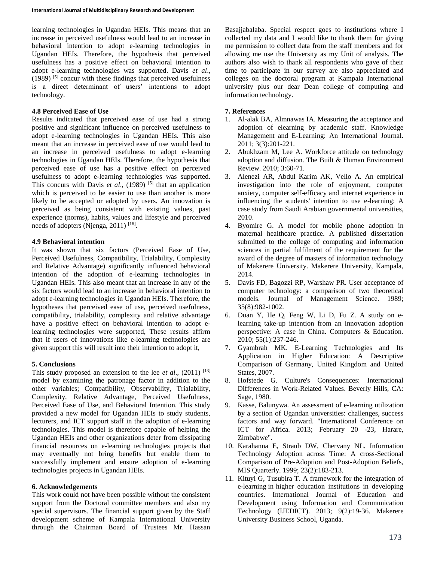learning technologies in Ugandan HEIs. This means that an increase in perceived usefulness would lead to an increase in behavioral intention to adopt e-learning technologies in Ugandan HEIs. Therefore, the hypothesis that perceived usefulness has a positive effect on behavioral intention to adopt e-learning technologies was supported. Davis *et al*.,  $(1989)$ <sup>[5]</sup> concur with these findings that perceived usefulness is a direct determinant of users' intentions to adopt technology.

### **4.8 Perceived Ease of Use**

Results indicated that perceived ease of use had a strong positive and significant influence on perceived usefulness to adopt e-learning technologies in Ugandan HEIs. This also meant that an increase in perceived ease of use would lead to an increase in perceived usefulness to adopt e-learning technologies in Ugandan HEIs. Therefore, the hypothesis that perceived ease of use has a positive effect on perceived usefulness to adopt e-learning technologies was supported. This concurs with Davis *et al.*,  $(1989)$ <sup>[5]</sup> that an application which is perceived to be easier to use than another is more likely to be accepted or adopted by users. An innovation is perceived as being consistent with existing values, past experience (norms), habits, values and lifestyle and perceived needs of adopters (Njenga, 2011)<sup>[16]</sup>.

### **4.9 Behavioral intention**

It was shown that six factors (Perceived Ease of Use, Perceived Usefulness, Compatibility, Trialability, Complexity and Relative Advantage) significantly influenced behavioral intention of the adoption of e-learning technologies in Ugandan HEIs. This also meant that an increase in any of the six factors would lead to an increase in behavioral intention to adopt e-learning technologies in Ugandan HEIs. Therefore, the hypotheses that perceived ease of use, perceived usefulness, compatibility, trialability, complexity and relative advantage have a positive effect on behavioral intention to adopt elearning technologies were supported, These results affirm that if users of innovations like e-learning technologies are given support this will result into their intention to adopt it,

#### **5. Conclusions**

This study proposed an extension to the lee *et al.*,  $(2011)$ <sup>[13]</sup> model by examining the patronage factor in addition to the other variables; Compatibility, Observability, Trialability, Complexity, Relative Advantage, Perceived Usefulness, Perceived Ease of Use, and Behavioral Intention. This study provided a new model for Ugandan HEIs to study students, lecturers, and ICT support staff in the adoption of e-learning technologies. This model is therefore capable of helping the Ugandan HEIs and other organizations deter from dissipating financial resources on e-learning technologies projects that may eventually not bring benefits but enable them to successfully implement and ensure adoption of e-learning technologies projects in Ugandan HEIs.

#### **6. Acknowledgements**

This work could not have been possible without the consistent support from the Doctoral committee members and also my special supervisors. The financial support given by the Staff development scheme of Kampala International University through the Chairman Board of Trustees Mr. Hassan

Basajjabalaba. Special respect goes to institutions where I collected my data and I would like to thank them for giving me permission to collect data from the staff members and for allowing me use the University as my Unit of analysis. The authors also wish to thank all respondents who gave of their time to participate in our survey are also appreciated and colleges on the doctoral program at Kampala International university plus our dear Dean college of computing and information technology.

### **7. References**

- 1. Al-alak BA, Almnawas IA. Measuring the acceptance and adoption of elearning by academic staff. Knowledge Management and E-Learning: An International Journal. 2011; 3(3):201-221.
- 2. Abukhzam M, Lee A. Workforce attitude on technology adoption and diffusion. The Built & Human Environment Review. 2010; 3:60-71.
- 3. Alenezi AR, Abdul Karim AK, Vello A. An empirical investigation into the role of enjoyment, computer anxiety, computer self-efficacy and internet experience in influencing the students' intention to use e-learning: A case study from Saudi Arabian governmental universities, 2010.
- 4. Byomire G. A model for mobile phone adoption in maternal healthcare practice. A published dissertation submitted to the college of computing and information sciences in partial fulfilment of the requirement for the award of the degree of masters of information technology of Makerere University. Makerere University, Kampala, 2014.
- 5. Davis FD, Bagozzi RP, Warshaw PR. User acceptance of computer technology: a comparison of two theoretical models. Journal of Management Science. 1989; 35(8):982-1002.
- 6. Duan Y, He Q, Feng W, Li D, Fu Z. A study on elearning take-up intention from an innovation adoption perspective: A case in China. Computers & Education. 2010; 55(1):237-246.
- 7. Gyambrah MK. E-Learning Technologies and Its Application in Higher Education: A Descriptive Comparison of Germany, United Kingdom and United States, 2007.
- 8. Hofstede G. Culture's Consequences: International Differences in Work-Related Values. Beverly Hills, CA: Sage, 1980.
- 9. Kasse, Balunywa. An assessment of e-learning utilization by a section of Ugandan universities: challenges, success factors and way forward. "International Conference on ICT for Africa. 2013; February 20 -23, Harare, Zimbabwe".
- 10. Karahanna E, Straub DW, Chervany NL. Information Technology Adoption across Time: A cross-Sectional Comparison of Pre-Adoption and Post-Adoption Beliefs, MIS Quarterly. 1999; 23(2):183-213.
- 11. Kituyi G, Tusubira T. A framework for the integration of e-learning in higher education institutions in developing countries. International Journal of Education and Development using Information and Communication Technology (IJEDICT). 2013; 9(2):19-36. Makerere University Business School, Uganda.